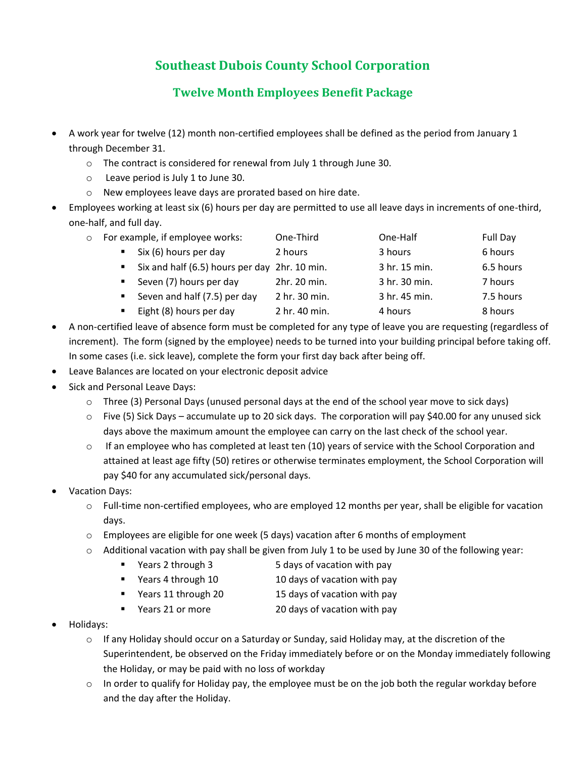## **Southeast Dubois County School Corporation**

## **Twelve Month Employees Benefit Package**

- A work year for twelve (12) month non-certified employees shall be defined as the period from January 1 through December 31.
	- o The contract is considered for renewal from July 1 through June 30.
	- o Leave period is July 1 to June 30.
	- o New employees leave days are prorated based on hire date.
- Employees working at least six (6) hours per day are permitted to use all leave days in increments of one-third, one-half, and full day.

| $\circ$ | For example, if employee works: |                                               | One-Third    | One-Half      | Full Day  |
|---------|---------------------------------|-----------------------------------------------|--------------|---------------|-----------|
|         |                                 | Six (6) hours per day                         | 2 hours      | 3 hours       | 6 hours   |
|         |                                 | Six and half (6.5) hours per day 2hr. 10 min. |              | 3 hr. 15 min. | 6.5 hours |
|         |                                 | Seven (7) hours per day                       | 2hr. 20 min. | 3 hr. 30 min. | 7 hours   |

- **E** Seven and half (7.5) per day  $2 \text{ hr. } 30 \text{ min.}$  3 hr. 45 min.  $7.5 \text{ hours}$
- Eight (8) hours per day 2 hr. 40 min. 4 hours 8 hours 8 hours
- A non-certified leave of absence form must be completed for any type of leave you are requesting (regardless of increment). The form (signed by the employee) needs to be turned into your building principal before taking off. In some cases (i.e. sick leave), complete the form your first day back after being off.
- Leave Balances are located on your electronic deposit advice
- Sick and Personal Leave Days:
	- $\circ$  Three (3) Personal Days (unused personal days at the end of the school year move to sick days)
	- $\circ$  Five (5) Sick Days accumulate up to 20 sick days. The corporation will pay \$40.00 for any unused sick days above the maximum amount the employee can carry on the last check of the school year.
	- $\circ$  If an employee who has completed at least ten (10) years of service with the School Corporation and attained at least age fifty (50) retires or otherwise terminates employment, the School Corporation will pay \$40 for any accumulated sick/personal days.
- Vacation Days:
	- $\circ$  Full-time non-certified employees, who are employed 12 months per year, shall be eligible for vacation days.
	- $\circ$  Employees are eligible for one week (5 days) vacation after 6 months of employment
	- $\circ$  Additional vacation with pay shall be given from July 1 to be used by June 30 of the following year:
		- Years 2 through 3 5 days of vacation with pay
			- Years 4 through 10 10 days of vacation with pay
			- Years 11 through 20 15 days of vacation with pay
		- Years 21 or more 20 days of vacation with pay
- Holidays:
	- o If any Holiday should occur on a Saturday or Sunday, said Holiday may, at the discretion of the Superintendent, be observed on the Friday immediately before or on the Monday immediately following the Holiday, or may be paid with no loss of workday
	- $\circ$  In order to qualify for Holiday pay, the employee must be on the job both the regular workday before and the day after the Holiday.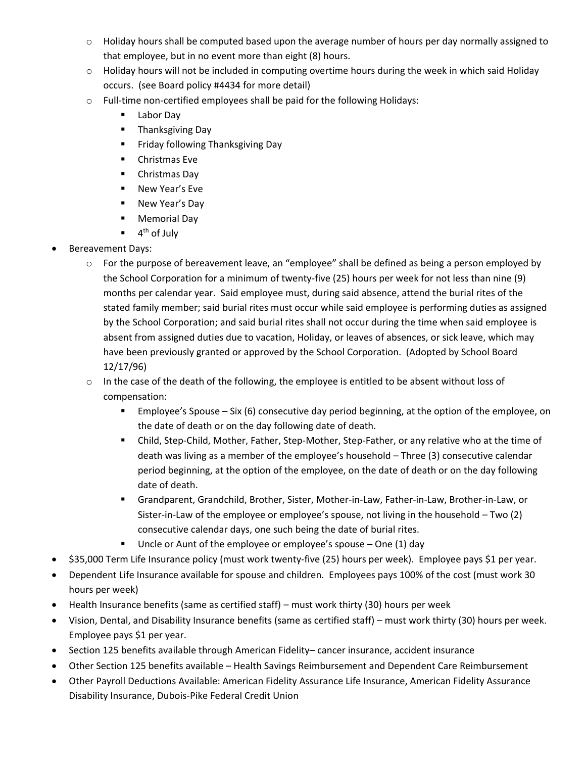- $\circ$  Holiday hours shall be computed based upon the average number of hours per day normally assigned to that employee, but in no event more than eight (8) hours.
- $\circ$  Holiday hours will not be included in computing overtime hours during the week in which said Holiday occurs. (see Board policy #4434 for more detail)
- o Full-time non-certified employees shall be paid for the following Holidays:
	- Labor Day
	- Thanksgiving Day
	- **EXECT:** Friday following Thanksgiving Day
	- Christmas Eve
	- Christmas Day
	- New Year's Eve
	- New Year's Day
	- Memorial Day
	- $\blacksquare$  4<sup>th</sup> of July
- Bereavement Days:
	- o For the purpose of bereavement leave, an "employee" shall be defined as being a person employed by the School Corporation for a minimum of twenty-five (25) hours per week for not less than nine (9) months per calendar year. Said employee must, during said absence, attend the burial rites of the stated family member; said burial rites must occur while said employee is performing duties as assigned by the School Corporation; and said burial rites shall not occur during the time when said employee is absent from assigned duties due to vacation, Holiday, or leaves of absences, or sick leave, which may have been previously granted or approved by the School Corporation. (Adopted by School Board 12/17/96)
	- $\circ$  In the case of the death of the following, the employee is entitled to be absent without loss of compensation:
		- Employee's Spouse Six (6) consecutive day period beginning, at the option of the employee, on the date of death or on the day following date of death.
		- Child, Step-Child, Mother, Father, Step-Mother, Step-Father, or any relative who at the time of death was living as a member of the employee's household – Three (3) consecutive calendar period beginning, at the option of the employee, on the date of death or on the day following date of death.
		- Grandparent, Grandchild, Brother, Sister, Mother-in-Law, Father-in-Law, Brother-in-Law, or Sister-in-Law of the employee or employee's spouse, not living in the household – Two (2) consecutive calendar days, one such being the date of burial rites.
		- Uncle or Aunt of the employee or employee's spouse  $-$  One (1) day
- \$35,000 Term Life Insurance policy (must work twenty-five (25) hours per week). Employee pays \$1 per year.
- Dependent Life Insurance available for spouse and children. Employees pays 100% of the cost (must work 30 hours per week)
- Health Insurance benefits (same as certified staff) must work thirty (30) hours per week
- Vision, Dental, and Disability Insurance benefits (same as certified staff) must work thirty (30) hours per week. Employee pays \$1 per year.
- Section 125 benefits available through American Fidelity– cancer insurance, accident insurance
- Other Section 125 benefits available Health Savings Reimbursement and Dependent Care Reimbursement
- Other Payroll Deductions Available: American Fidelity Assurance Life Insurance, American Fidelity Assurance Disability Insurance, Dubois-Pike Federal Credit Union